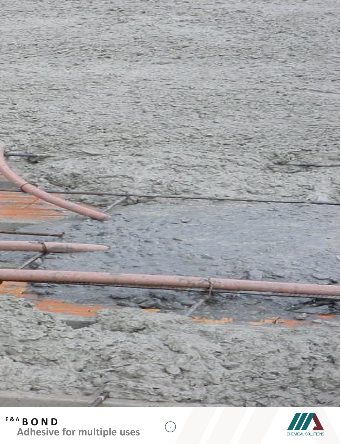

 $\bigodot$ 



# **E & A B O N D Adhesive for multiple uses**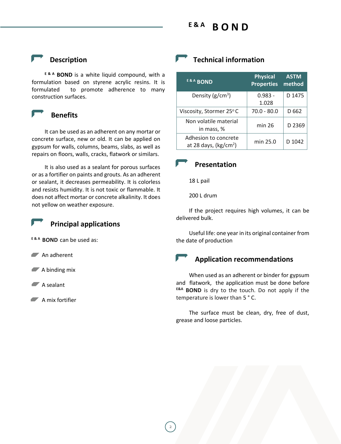#### **E & A B O N D**

 **Description**

**E & A BOND** is a white liquid compound, with a formulation based on styrene acrylic resins. It is formulated to promote adherence to many construction surfaces.



 **Benefits**

It can be used as an adherent on any mortar or concrete surface, new or old. It can be applied on gypsum for walls, columns, beams, slabs, as well as repairs on floors, walls, cracks, flatwork or similars.

It is also used as a sealant for porous surfaces or as a fortifier on paints and grouts. As an adherent or sealant, it decreases permeability. It is colorless and resists humidity. It is not toxic or flammable. It does not affect mortar or concrete alkalinity. It does not yellow on weather exposure.



#### **Principal applications**

**E & <sup>A</sup> BOND** can be used as:

An adherent

 $\blacktriangleright$  A binding mix

 $\blacktriangleright$  A sealant

 $\blacksquare$  A mix fortifier

# **Technical information**

| <b>E&amp;A BOND</b>                            | <b>Physical</b><br><b>Properties</b> | <b>ASTM</b><br>method |
|------------------------------------------------|--------------------------------------|-----------------------|
| Density $(g/cm^3)$                             | $0.983 -$<br>1.028                   | D 1475                |
| Viscosity, Stormer 25°C                        | $70.0 - 80.0$                        | D 662                 |
| Non volatile material<br>in mass, %            | min 26                               | D 2369                |
| Adhesion to concrete<br>at 28 days, $(kg/cm2)$ | min 25.0                             | D 1042                |

### **Presentation**

18 L pail

200 L drum

If the project requires high volumes, it can be delivered bulk.

Useful life: one year in its original container from the date of production

## **Application recommendations**

When used as an adherent or binder for gypsum and flatwork, the application must be done before **E&A BOND** is dry to the touch. Do not apply if the temperature is lower than 5 ° C.

The surface must be clean, dry, free of dust, grease and loose particles.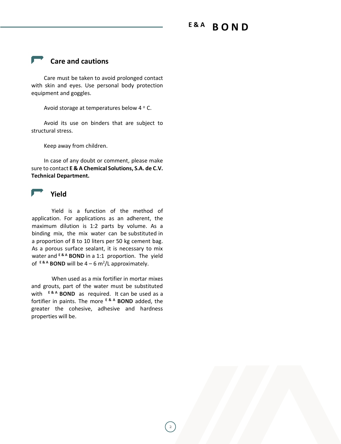#### **E & A B O N D**

### **Care and cautions**

Care must be taken to avoid prolonged contact with skin and eyes. Use personal body protection equipment and goggles.

Avoid storage at temperatures below 4 ° C.

Avoid its use on binders that are subject to structural stress.

Keep away from children.

In case of any doubt or comment, please make sure to contact **E & A Chemical Solutions, S.A. de C.V. Technical Department.**



Yield is a function of the method of application. For applications as an adherent, the maximum dilution is 1:2 parts by volume. As a binding mix, the mix water can be substituted in a proportion of 8 to 10 liters per 50 kg cement bag. As a porous surface sealant, it is necessary to mix water and **E & A BOND** in a 1:1 proportion. The yield of  $E^{RA}$  **BOND** will be  $4 - 6$  m<sup>2</sup>/L approximately.

When used as a mix fortifier in mortar mixes and grouts, part of the water must be substituted with **E & A BOND** as required. It can be used as a fortifier in paints. The more **E & A BOND** added, the greater the cohesive, adhesive and hardness properties will be.

2